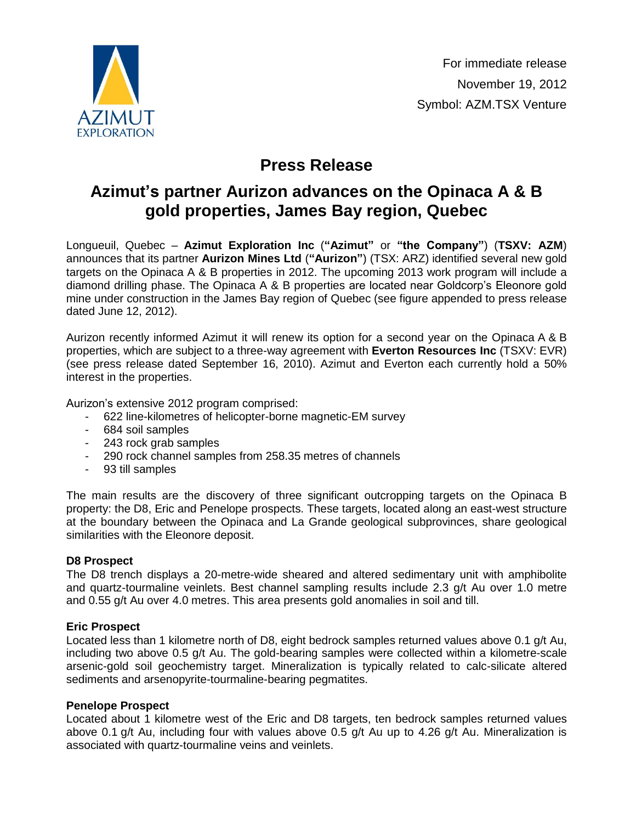

# **Press Release**

## **Azimut's partner Aurizon advances on the Opinaca A & B gold properties, James Bay region, Quebec**

Longueuil, Quebec – **Azimut Exploration Inc** (**"Azimut"** or **"the Company"**) (**TSXV: AZM**) announces that its partner **Aurizon Mines Ltd** (**"Aurizon"**) (TSX: ARZ) identified several new gold targets on the Opinaca A & B properties in 2012. The upcoming 2013 work program will include a diamond drilling phase. The Opinaca A & B properties are located near Goldcorp's Eleonore gold mine under construction in the James Bay region of Quebec (see figure appended to press release dated June 12, 2012).

Aurizon recently informed Azimut it will renew its option for a second year on the Opinaca A & B properties, which are subject to a three-way agreement with **Everton Resources Inc** (TSXV: EVR) (see press release dated September 16, 2010). Azimut and Everton each currently hold a 50% interest in the properties.

Aurizon's extensive 2012 program comprised:

- 622 line-kilometres of helicopter-borne magnetic-EM survey
- 684 soil samples
- 243 rock grab samples
- 290 rock channel samples from 258.35 metres of channels
- 93 till samples

The main results are the discovery of three significant outcropping targets on the Opinaca B property: the D8, Eric and Penelope prospects. These targets, located along an east-west structure at the boundary between the Opinaca and La Grande geological subprovinces, share geological similarities with the Eleonore deposit.

### **D8 Prospect**

The D8 trench displays a 20-metre-wide sheared and altered sedimentary unit with amphibolite and quartz-tourmaline veinlets. Best channel sampling results include 2.3 g/t Au over 1.0 metre and 0.55 g/t Au over 4.0 metres. This area presents gold anomalies in soil and till.

### **Eric Prospect**

Located less than 1 kilometre north of D8, eight bedrock samples returned values above 0.1 g/t Au, including two above 0.5 g/t Au. The gold-bearing samples were collected within a kilometre-scale arsenic-gold soil geochemistry target. Mineralization is typically related to calc-silicate altered sediments and arsenopyrite-tourmaline-bearing pegmatites.

### **Penelope Prospect**

Located about 1 kilometre west of the Eric and D8 targets, ten bedrock samples returned values above 0.1 g/t Au, including four with values above 0.5 g/t Au up to 4.26 g/t Au. Mineralization is associated with quartz-tourmaline veins and veinlets.